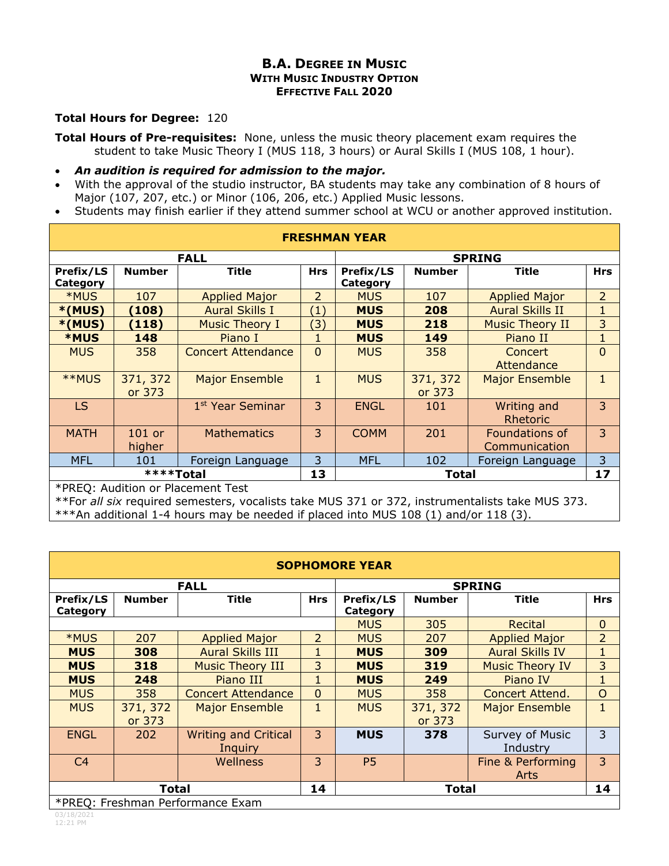## **B.A. DEGREE IN MUSIC WITH MUSIC INDUSTRY OPTION EFFECTIVE FALL 2020**

## **Total Hours for Degree:** 120

**Total Hours of Pre-requisites:** None, unless the music theory placement exam requires the student to take Music Theory I (MUS 118, 3 hours) or Aural Skills I (MUS 108, 1 hour).

- *An audition is required for admission to the major.*
- With the approval of the studio instructor, BA students may take any combination of 8 hours of Major (107, 207, etc.) or Minor (106, 206, etc.) Applied Music lessons.
- Students may finish earlier if they attend summer school at WCU or another approved institution.

| <b>FRESHMAN YEAR</b>                                          |                    |                              |                   |                              |                    |                                 |                |  |  |
|---------------------------------------------------------------|--------------------|------------------------------|-------------------|------------------------------|--------------------|---------------------------------|----------------|--|--|
| <b>FALL</b>                                                   |                    |                              |                   | <b>SPRING</b>                |                    |                                 |                |  |  |
| Prefix/LS<br>Category                                         | <b>Number</b>      | <b>Title</b>                 | <b>Hrs</b>        | Prefix/LS<br><b>Category</b> | <b>Number</b>      | <b>Title</b>                    | <b>Hrs</b>     |  |  |
| <b>*MUS</b>                                                   | 107                | <b>Applied Major</b>         | $\overline{2}$    | <b>MUS</b>                   | 107                | <b>Applied Major</b>            | $\overline{2}$ |  |  |
| $*(MUS)$                                                      | (108)              | <b>Aural Skills I</b>        | $\left( 1\right)$ | <b>MUS</b>                   | 208                | <b>Aural Skills II</b>          | 1              |  |  |
| $*(MUS)$                                                      | (118)              | <b>Music Theory I</b>        | (3)               | <b>MUS</b>                   | 218                | <b>Music Theory II</b>          | 3              |  |  |
| <b>*MUS</b>                                                   | 148                | Piano I                      |                   | <b>MUS</b>                   | 149                | Piano II                        | 1              |  |  |
| <b>MUS</b>                                                    | 358                | <b>Concert Attendance</b>    | $\mathbf{0}$      | <b>MUS</b>                   | 358                | <b>Concert</b><br>Attendance    | $\overline{0}$ |  |  |
| **MUS                                                         | 371, 372<br>or 373 | <b>Major Ensemble</b>        | 1                 | <b>MUS</b>                   | 371, 372<br>or 373 | <b>Major Ensemble</b>           |                |  |  |
| <b>LS</b>                                                     |                    | 1 <sup>st</sup> Year Seminar | 3                 | <b>ENGL</b>                  | 101                | Writing and<br>Rhetoric         | 3              |  |  |
| <b>MATH</b>                                                   | 101 or<br>higher   | <b>Mathematics</b>           | 3                 | <b>COMM</b>                  | 201                | Foundations of<br>Communication | 3              |  |  |
| <b>MFL</b>                                                    | 101                | Foreign Language             | 3                 | <b>MFL</b>                   | 102                | Foreign Language                | 3              |  |  |
| ****Total<br>$*$ DDE $\Omega$ . Andleise su Dissensation Tsse |                    |                              |                   |                              | Total              |                                 | 17             |  |  |

\*PREQ: Audition or Placement Test

\*\*For *all six* required semesters, vocalists take MUS 371 or 372, instrumentalists take MUS 373. \*\*\*An additional 1-4 hours may be needed if placed into MUS 108 (1) and/or 118 (3).

| <b>SOPHOMORE YEAR</b>            |                    |                                        |                |                       |                    |                             |                |  |
|----------------------------------|--------------------|----------------------------------------|----------------|-----------------------|--------------------|-----------------------------|----------------|--|
| <b>FALL</b>                      |                    |                                        |                | <b>SPRING</b>         |                    |                             |                |  |
| <b>Prefix/LS</b><br>Category     | <b>Number</b>      | <b>Title</b>                           | <b>Hrs</b>     | Prefix/LS<br>Category | <b>Number</b>      | <b>Title</b>                | <b>Hrs</b>     |  |
|                                  |                    |                                        |                | <b>MUS</b>            | 305                | Recital                     | $\mathbf 0$    |  |
| *MUS                             | 207                | <b>Applied Major</b>                   | $\overline{2}$ | <b>MUS</b>            | 207                | <b>Applied Major</b>        | $\overline{2}$ |  |
| <b>MUS</b>                       | 308                | <b>Aural Skills III</b>                | 1              | <b>MUS</b>            | 309                | <b>Aural Skills IV</b>      | 1              |  |
| <b>MUS</b>                       | 318                | <b>Music Theory III</b>                | 3              | <b>MUS</b>            | 319                | <b>Music Theory IV</b>      | 3              |  |
| <b>MUS</b>                       | 248                | Piano III                              | $\mathbf{1}$   | <b>MUS</b>            | 249                | Piano IV                    | $\mathbf{1}$   |  |
| <b>MUS</b>                       | 358                | <b>Concert Attendance</b>              | $\overline{0}$ | <b>MUS</b>            | 358                | <b>Concert Attend.</b>      | $\circ$        |  |
| <b>MUS</b>                       | 371, 372<br>or 373 | <b>Major Ensemble</b>                  | 1              | <b>MUS</b>            | 371, 372<br>or 373 | <b>Major Ensemble</b>       | $\mathbf{1}$   |  |
| <b>ENGL</b>                      | 202                | <b>Writing and Critical</b><br>Inquiry | 3              | <b>MUS</b>            | 378                | Survey of Music<br>Industry | 3              |  |
| C <sub>4</sub>                   |                    | Wellness                               | 3              | P <sub>5</sub>        |                    | Fine & Performing           | 3              |  |
|                                  |                    |                                        |                |                       |                    | <b>Arts</b>                 |                |  |
| <b>Total</b>                     |                    |                                        | 14             |                       | <b>Total</b>       |                             | 14             |  |
| *PREQ: Freshman Performance Exam |                    |                                        |                |                       |                    |                             |                |  |